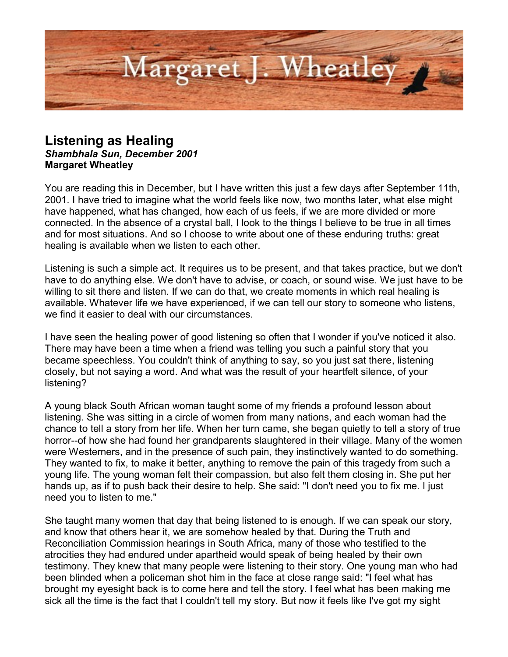

## **Listening as Healing** *Shambhala Sun, December 2001* **Margaret Wheatley**

You are reading this in December, but I have written this just a few days after September 11th, 2001. I have tried to imagine what the world feels like now, two months later, what else might have happened, what has changed, how each of us feels, if we are more divided or more connected. In the absence of a crystal ball, I look to the things I believe to be true in all times and for most situations. And so I choose to write about one of these enduring truths: great healing is available when we listen to each other.

Listening is such a simple act. It requires us to be present, and that takes practice, but we don't have to do anything else. We don't have to advise, or coach, or sound wise. We just have to be willing to sit there and listen. If we can do that, we create moments in which real healing is available. Whatever life we have experienced, if we can tell our story to someone who listens, we find it easier to deal with our circumstances.

I have seen the healing power of good listening so often that I wonder if you've noticed it also. There may have been a time when a friend was telling you such a painful story that you became speechless. You couldn't think of anything to say, so you just sat there, listening closely, but not saying a word. And what was the result of your heartfelt silence, of your listening?

A young black South African woman taught some of my friends a profound lesson about listening. She was sitting in a circle of women from many nations, and each woman had the chance to tell a story from her life. When her turn came, she began quietly to tell a story of true horror--of how she had found her grandparents slaughtered in their village. Many of the women were Westerners, and in the presence of such pain, they instinctively wanted to do something. They wanted to fix, to make it better, anything to remove the pain of this tragedy from such a young life. The young woman felt their compassion, but also felt them closing in. She put her hands up, as if to push back their desire to help. She said: "I don't need you to fix me. I just need you to listen to me."

She taught many women that day that being listened to is enough. If we can speak our story, and know that others hear it, we are somehow healed by that. During the Truth and Reconciliation Commission hearings in South Africa, many of those who testified to the atrocities they had endured under apartheid would speak of being healed by their own testimony. They knew that many people were listening to their story. One young man who had been blinded when a policeman shot him in the face at close range said: "I feel what has brought my eyesight back is to come here and tell the story. I feel what has been making me sick all the time is the fact that I couldn't tell my story. But now it feels like I've got my sight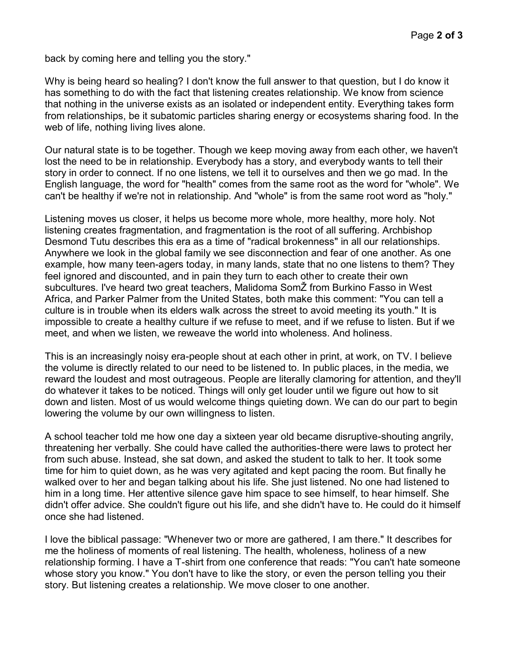back by coming here and telling you the story."

Why is being heard so healing? I don't know the full answer to that question, but I do know it has something to do with the fact that listening creates relationship. We know from science that nothing in the universe exists as an isolated or independent entity. Everything takes form from relationships, be it subatomic particles sharing energy or ecosystems sharing food. In the web of life, nothing living lives alone.

Our natural state is to be together. Though we keep moving away from each other, we haven't lost the need to be in relationship. Everybody has a story, and everybody wants to tell their story in order to connect. If no one listens, we tell it to ourselves and then we go mad. In the English language, the word for "health" comes from the same root as the word for "whole". We can't be healthy if we're not in relationship. And "whole" is from the same root word as "holy."

Listening moves us closer, it helps us become more whole, more healthy, more holy. Not listening creates fragmentation, and fragmentation is the root of all suffering. Archbishop Desmond Tutu describes this era as a time of "radical brokenness" in all our relationships. Anywhere we look in the global family we see disconnection and fear of one another. As one example, how many teen-agers today, in many lands, state that no one listens to them? They feel ignored and discounted, and in pain they turn to each other to create their own subcultures. I've heard two great teachers, Malidoma SomŽ from Burkino Fasso in West Africa, and Parker Palmer from the United States, both make this comment: "You can tell a culture is in trouble when its elders walk across the street to avoid meeting its youth." It is impossible to create a healthy culture if we refuse to meet, and if we refuse to listen. But if we meet, and when we listen, we reweave the world into wholeness. And holiness.

This is an increasingly noisy era-people shout at each other in print, at work, on TV. I believe the volume is directly related to our need to be listened to. In public places, in the media, we reward the loudest and most outrageous. People are literally clamoring for attention, and they'll do whatever it takes to be noticed. Things will only get louder until we figure out how to sit down and listen. Most of us would welcome things quieting down. We can do our part to begin lowering the volume by our own willingness to listen.

A school teacher told me how one day a sixteen year old became disruptive-shouting angrily, threatening her verbally. She could have called the authorities-there were laws to protect her from such abuse. Instead, she sat down, and asked the student to talk to her. It took some time for him to quiet down, as he was very agitated and kept pacing the room. But finally he walked over to her and began talking about his life. She just listened. No one had listened to him in a long time. Her attentive silence gave him space to see himself, to hear himself. She didn't offer advice. She couldn't figure out his life, and she didn't have to. He could do it himself once she had listened.

I love the biblical passage: "Whenever two or more are gathered, I am there." It describes for me the holiness of moments of real listening. The health, wholeness, holiness of a new relationship forming. I have a T-shirt from one conference that reads: "You can't hate someone whose story you know." You don't have to like the story, or even the person telling you their story. But listening creates a relationship. We move closer to one another.